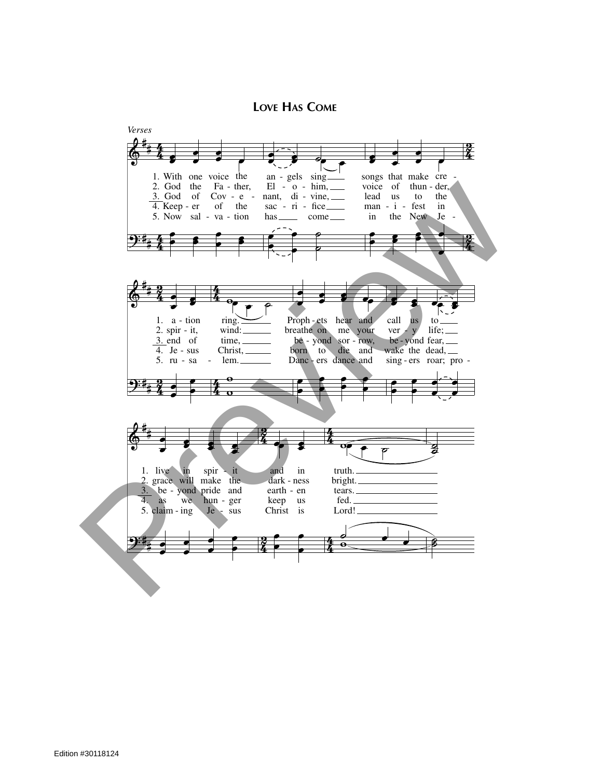**LOVE HAS COME**